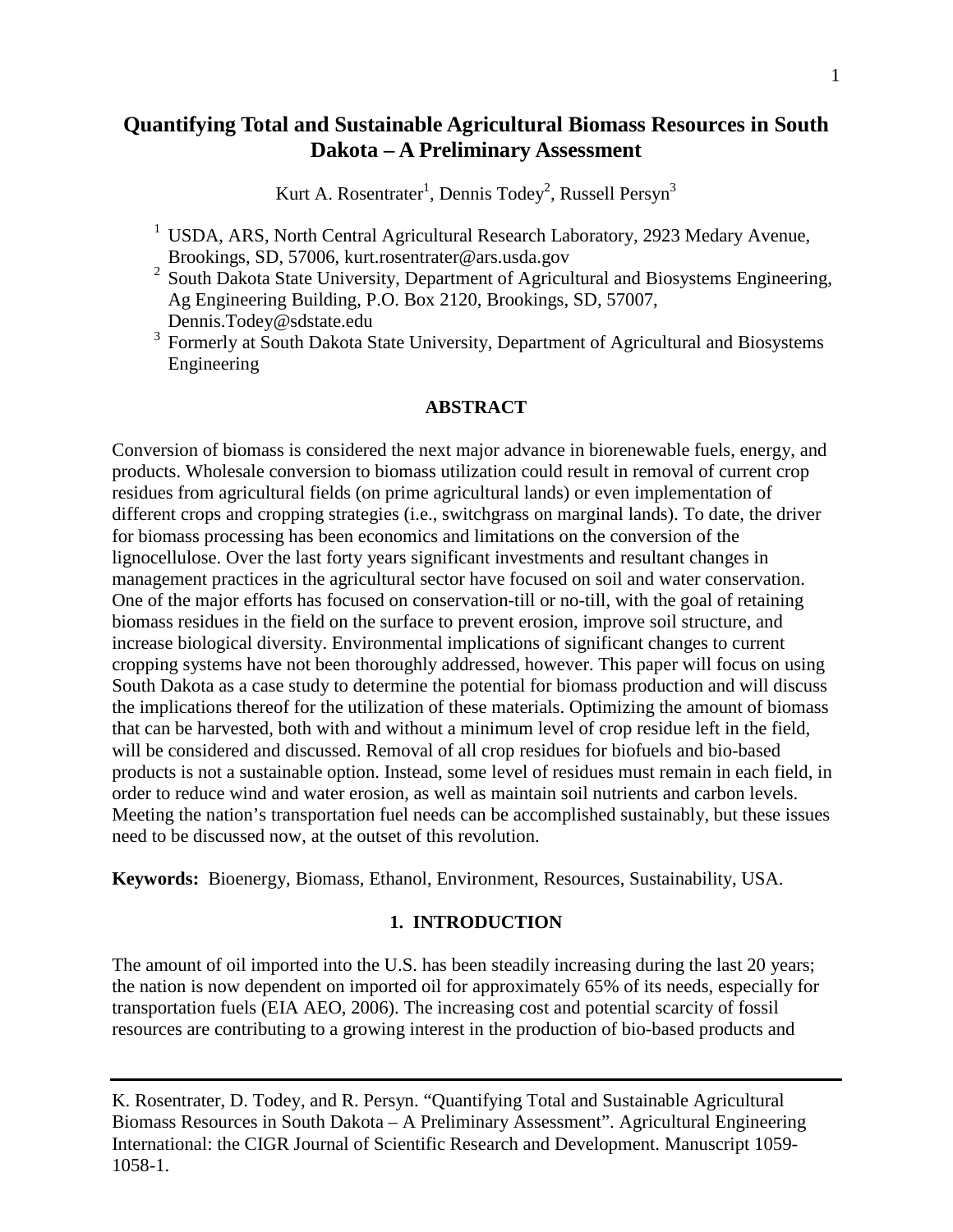# **Quantifying Total and Sustainable Agricultural Biomass Resources in South Dakota – A Preliminary Assessment**

Kurt A. Rosentrater<sup>1</sup>, Dennis Todey<sup>2</sup>, Russell Persyn<sup>3</sup>

- <sup>1</sup> USDA, ARS, North Central Agricultural Research Laboratory, 2923 Medary Avenue, Brookings, SD, 57006, kurt.rosentrater@ars.usda.gov
- <sup>2</sup> South Dakota State University, Department of Agricultural and Biosystems Engineering, Ag Engineering Building, P.O. Box 2120, Brookings, SD, 57007, [Dennis.Todey@sdstate.edu](mailto:Dennis.Todey@sdstate.edu)
- <sup>3</sup> Formerly at South Dakota State University, Department of Agricultural and Biosystems Engineering

#### **ABSTRACT**

Conversion of biomass is considered the next major advance in biorenewable fuels, energy, and products. Wholesale conversion to biomass utilization could result in removal of current crop residues from agricultural fields (on prime agricultural lands) or even implementation of different crops and cropping strategies (i.e., switchgrass on marginal lands). To date, the driver for biomass processing has been economics and limitations on the conversion of the lignocellulose. Over the last forty years significant investments and resultant changes in management practices in the agricultural sector have focused on soil and water conservation. One of the major efforts has focused on conservation-till or no-till, with the goal of retaining biomass residues in the field on the surface to prevent erosion, improve soil structure, and increase biological diversity. Environmental implications of significant changes to current cropping systems have not been thoroughly addressed, however. This paper will focus on using South Dakota as a case study to determine the potential for biomass production and will discuss the implications thereof for the utilization of these materials. Optimizing the amount of biomass that can be harvested, both with and without a minimum level of crop residue left in the field, will be considered and discussed. Removal of all crop residues for biofuels and bio-based products is not a sustainable option. Instead, some level of residues must remain in each field, in order to reduce wind and water erosion, as well as maintain soil nutrients and carbon levels. Meeting the nation's transportation fuel needs can be accomplished sustainably, but these issues need to be discussed now, at the outset of this revolution.

**Keywords:** Bioenergy, Biomass, Ethanol, Environment, Resources, Sustainability, USA.

### **1. INTRODUCTION**

The amount of oil imported into the U.S. has been steadily increasing during the last 20 years; the nation is now dependent on imported oil for approximately 65% of its needs, especially for transportation fuels (EIA AEO, 2006). The increasing cost and potential scarcity of fossil resources are contributing to a growing interest in the production of bio-based products and

K. Rosentrater, D. Todey, and R. Persyn. "Quantifying Total and Sustainable Agricultural Biomass Resources in South Dakota – A Preliminary Assessment". Agricultural Engineering International: the CIGR Journal of Scientific Research and Development. Manuscript 1059- 1058-1.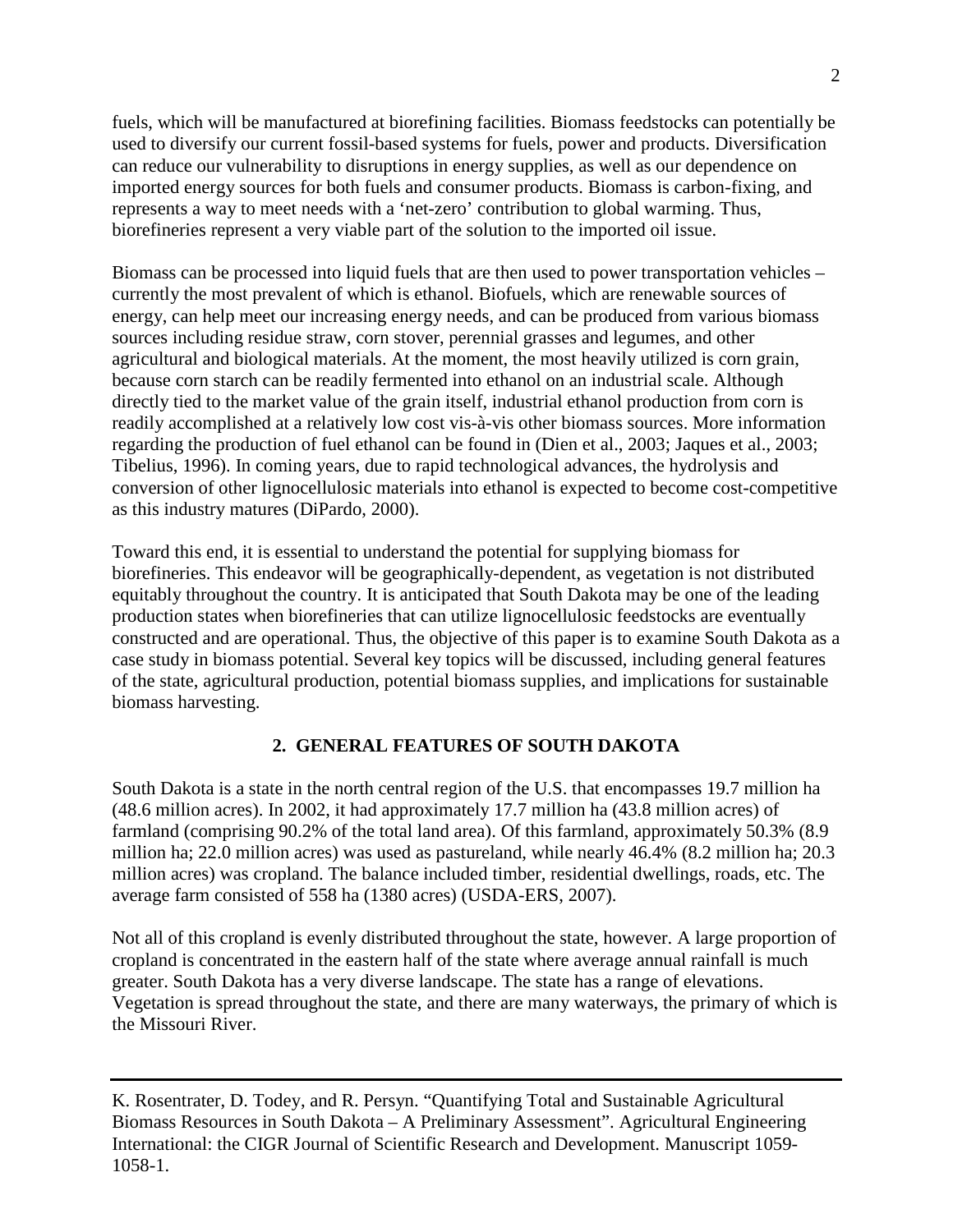fuels, which will be manufactured at biorefining facilities. Biomass feedstocks can potentially be used to diversify our current fossil-based systems for fuels, power and products. Diversification can reduce our vulnerability to disruptions in energy supplies, as well as our dependence on imported energy sources for both fuels and consumer products. Biomass is carbon-fixing, and represents a way to meet needs with a 'net-zero' contribution to global warming. Thus, biorefineries represent a very viable part of the solution to the imported oil issue.

Biomass can be processed into liquid fuels that are then used to power transportation vehicles – currently the most prevalent of which is ethanol. Biofuels, which are renewable sources of energy, can help meet our increasing energy needs, and can be produced from various biomass sources including residue straw, corn stover, perennial grasses and legumes, and other agricultural and biological materials. At the moment, the most heavily utilized is corn grain, because corn starch can be readily fermented into ethanol on an industrial scale. Although directly tied to the market value of the grain itself, industrial ethanol production from corn is readily accomplished at a relatively low cost vis-à-vis other biomass sources. More information regarding the production of fuel ethanol can be found in (Dien et al., 2003; Jaques et al., 2003; Tibelius, 1996). In coming years, due to rapid technological advances, the hydrolysis and conversion of other lignocellulosic materials into ethanol is expected to become cost-competitive as this industry matures (DiPardo, 2000).

Toward this end, it is essential to understand the potential for supplying biomass for biorefineries. This endeavor will be geographically-dependent, as vegetation is not distributed equitably throughout the country. It is anticipated that South Dakota may be one of the leading production states when biorefineries that can utilize lignocellulosic feedstocks are eventually constructed and are operational. Thus, the objective of this paper is to examine South Dakota as a case study in biomass potential. Several key topics will be discussed, including general features of the state, agricultural production, potential biomass supplies, and implications for sustainable biomass harvesting.

# **2. GENERAL FEATURES OF SOUTH DAKOTA**

South Dakota is a state in the north central region of the U.S. that encompasses 19.7 million ha (48.6 million acres). In 2002, it had approximately 17.7 million ha (43.8 million acres) of farmland (comprising 90.2% of the total land area). Of this farmland, approximately 50.3% (8.9 million ha; 22.0 million acres) was used as pastureland, while nearly 46.4% (8.2 million ha; 20.3 million acres) was cropland. The balance included timber, residential dwellings, roads, etc. The average farm consisted of 558 ha (1380 acres) (USDA-ERS, 2007).

Not all of this cropland is evenly distributed throughout the state, however. A large proportion of cropland is concentrated in the eastern half of the state where average annual rainfall is much greater. South Dakota has a very diverse landscape. The state has a range of elevations. Vegetation is spread throughout the state, and there are many waterways, the primary of which is the Missouri River.

K. Rosentrater, D. Todey, and R. Persyn. "Quantifying Total and Sustainable Agricultural Biomass Resources in South Dakota – A Preliminary Assessment". Agricultural Engineering International: the CIGR Journal of Scientific Research and Development. Manuscript 1059- 1058-1.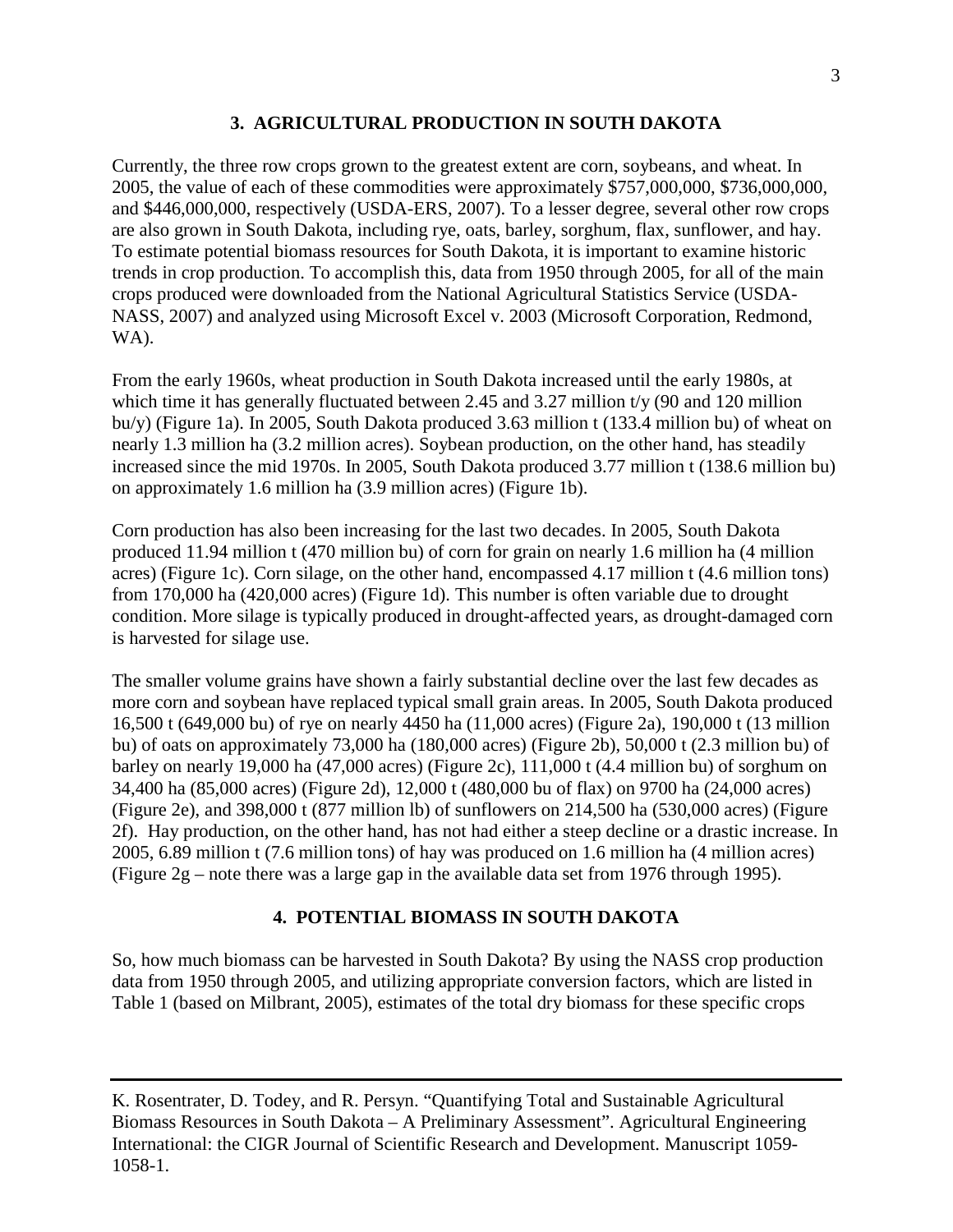## **3. AGRICULTURAL PRODUCTION IN SOUTH DAKOTA**

Currently, the three row crops grown to the greatest extent are corn, soybeans, and wheat. In 2005, the value of each of these commodities were approximately \$757,000,000, \$736,000,000, and \$446,000,000, respectively (USDA-ERS, 2007). To a lesser degree, several other row crops are also grown in South Dakota, including rye, oats, barley, sorghum, flax, sunflower, and hay. To estimate potential biomass resources for South Dakota, it is important to examine historic trends in crop production. To accomplish this, data from 1950 through 2005, for all of the main crops produced were downloaded from the National Agricultural Statistics Service (USDA-NASS, 2007) and analyzed using Microsoft Excel v. 2003 (Microsoft Corporation, Redmond, WA).

From the early 1960s, wheat production in South Dakota increased until the early 1980s, at which time it has generally fluctuated between 2.45 and 3.27 million t/y (90 and 120 million bu/y) (Figure 1a). In 2005, South Dakota produced 3.63 million t  $(133.4$  million bu) of wheat on nearly 1.3 million ha (3.2 million acres). Soybean production, on the other hand, has steadily increased since the mid 1970s. In 2005, South Dakota produced 3.77 million t (138.6 million bu) on approximately 1.6 million ha (3.9 million acres) (Figure 1b).

Corn production has also been increasing for the last two decades. In 2005, South Dakota produced 11.94 million t (470 million bu) of corn for grain on nearly 1.6 million ha (4 million acres) (Figure 1c). Corn silage, on the other hand, encompassed 4.17 million t (4.6 million tons) from 170,000 ha (420,000 acres) (Figure 1d). This number is often variable due to drought condition. More silage is typically produced in drought-affected years, as drought-damaged corn is harvested for silage use.

The smaller volume grains have shown a fairly substantial decline over the last few decades as more corn and soybean have replaced typical small grain areas. In 2005, South Dakota produced 16,500 t (649,000 bu) of rye on nearly 4450 ha (11,000 acres) (Figure 2a), 190,000 t (13 million bu) of oats on approximately 73,000 ha (180,000 acres) (Figure 2b), 50,000 t (2.3 million bu) of barley on nearly 19,000 ha (47,000 acres) (Figure 2c), 111,000 t (4.4 million bu) of sorghum on 34,400 ha (85,000 acres) (Figure 2d), 12,000 t (480,000 bu of flax) on 9700 ha (24,000 acres) (Figure 2e), and 398,000 t (877 million lb) of sunflowers on 214,500 ha (530,000 acres) (Figure 2f). Hay production, on the other hand, has not had either a steep decline or a drastic increase. In 2005, 6.89 million t (7.6 million tons) of hay was produced on 1.6 million ha (4 million acres) (Figure 2g – note there was a large gap in the available data set from 1976 through 1995).

# **4. POTENTIAL BIOMASS IN SOUTH DAKOTA**

So, how much biomass can be harvested in South Dakota? By using the NASS crop production data from 1950 through 2005, and utilizing appropriate conversion factors, which are listed in Table 1 (based on Milbrant, 2005), estimates of the total dry biomass for these specific crops

K. Rosentrater, D. Todey, and R. Persyn. "Quantifying Total and Sustainable Agricultural Biomass Resources in South Dakota – A Preliminary Assessment". Agricultural Engineering International: the CIGR Journal of Scientific Research and Development. Manuscript 1059- 1058-1.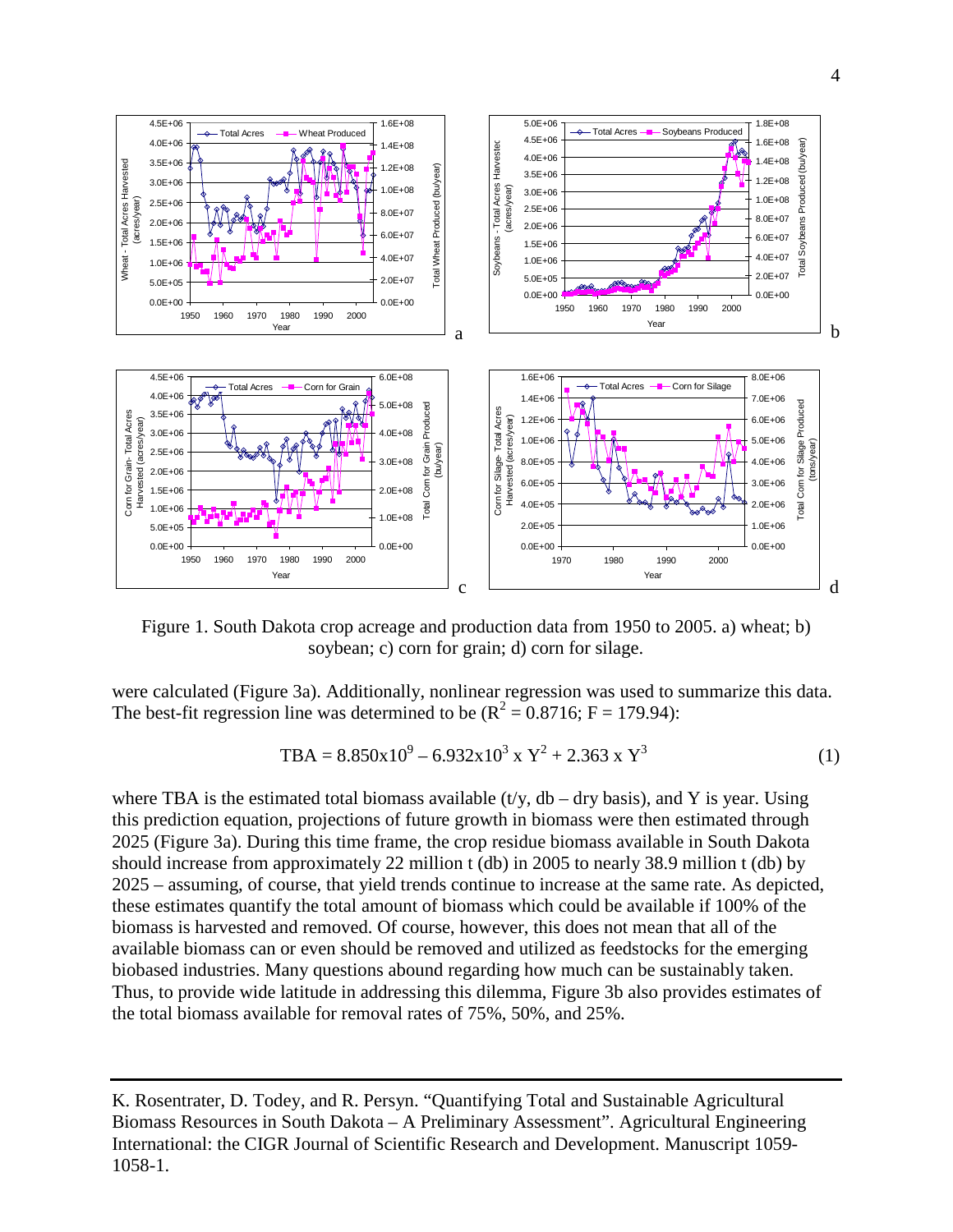

Figure 1. South Dakota crop acreage and production data from 1950 to 2005. a) wheat; b) soybean; c) corn for grain; d) corn for silage.

were calculated (Figure 3a). Additionally, nonlinear regression was used to summarize this data. The best-fit regression line was determined to be  $(R^2 = 0.8716; F = 179.94)$ :

$$
TBA = 8.850 \times 10^{9} - 6.932 \times 10^{3} \times Y^{2} + 2.363 \times Y^{3}
$$
 (1)

where TBA is the estimated total biomass available (t/y,  $db - dry$  basis), and Y is year. Using this prediction equation, projections of future growth in biomass were then estimated through 2025 (Figure 3a). During this time frame, the crop residue biomass available in South Dakota should increase from approximately 22 million t (db) in 2005 to nearly 38.9 million t (db) by 2025 – assuming, of course, that yield trends continue to increase at the same rate. As depicted, these estimates quantify the total amount of biomass which could be available if 100% of the biomass is harvested and removed. Of course, however, this does not mean that all of the available biomass can or even should be removed and utilized as feedstocks for the emerging biobased industries. Many questions abound regarding how much can be sustainably taken. Thus, to provide wide latitude in addressing this dilemma, Figure 3b also provides estimates of the total biomass available for removal rates of 75%, 50%, and 25%.

K. Rosentrater, D. Todey, and R. Persyn. "Quantifying Total and Sustainable Agricultural Biomass Resources in South Dakota – A Preliminary Assessment". Agricultural Engineering International: the CIGR Journal of Scientific Research and Development. Manuscript 1059- 1058-1.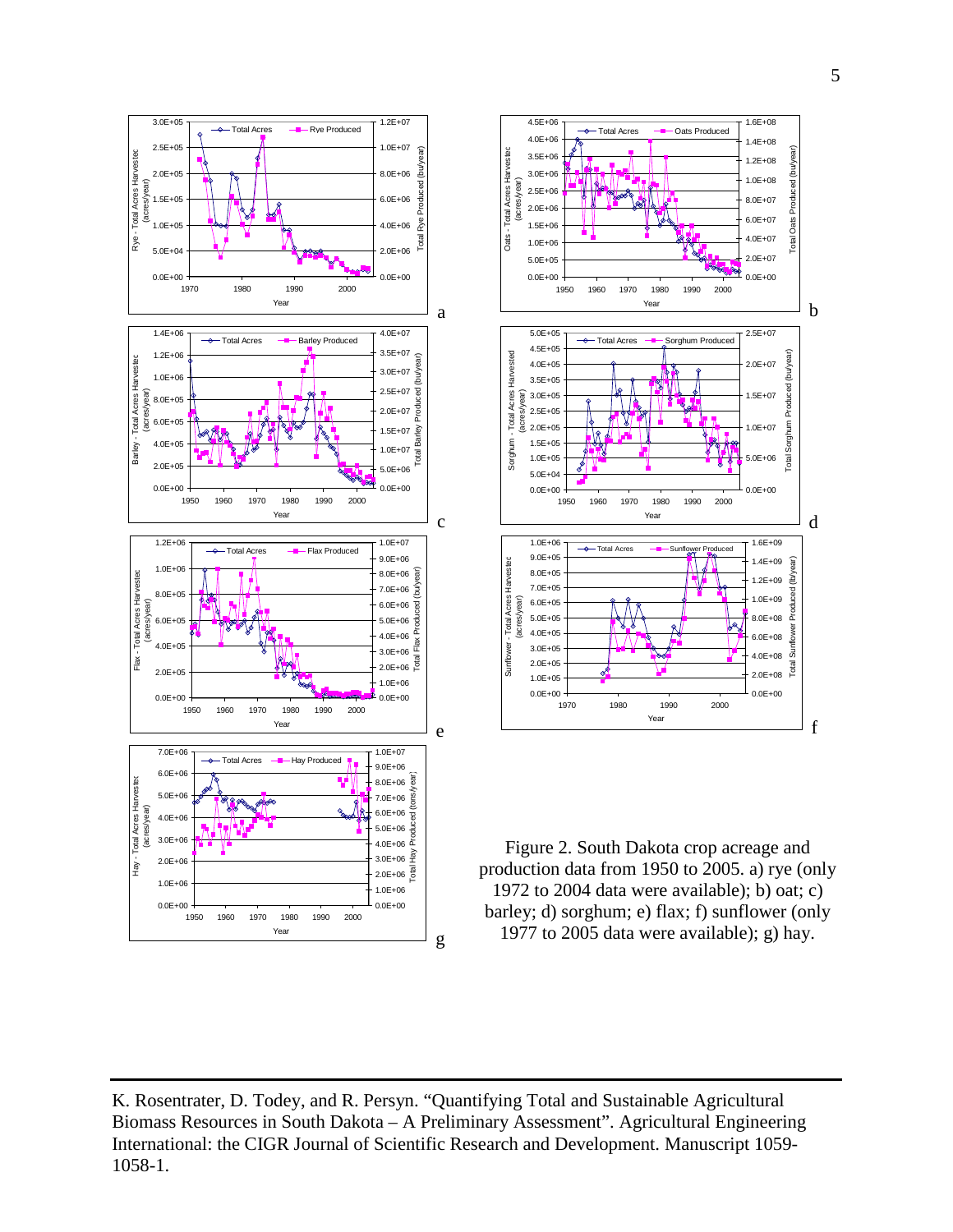





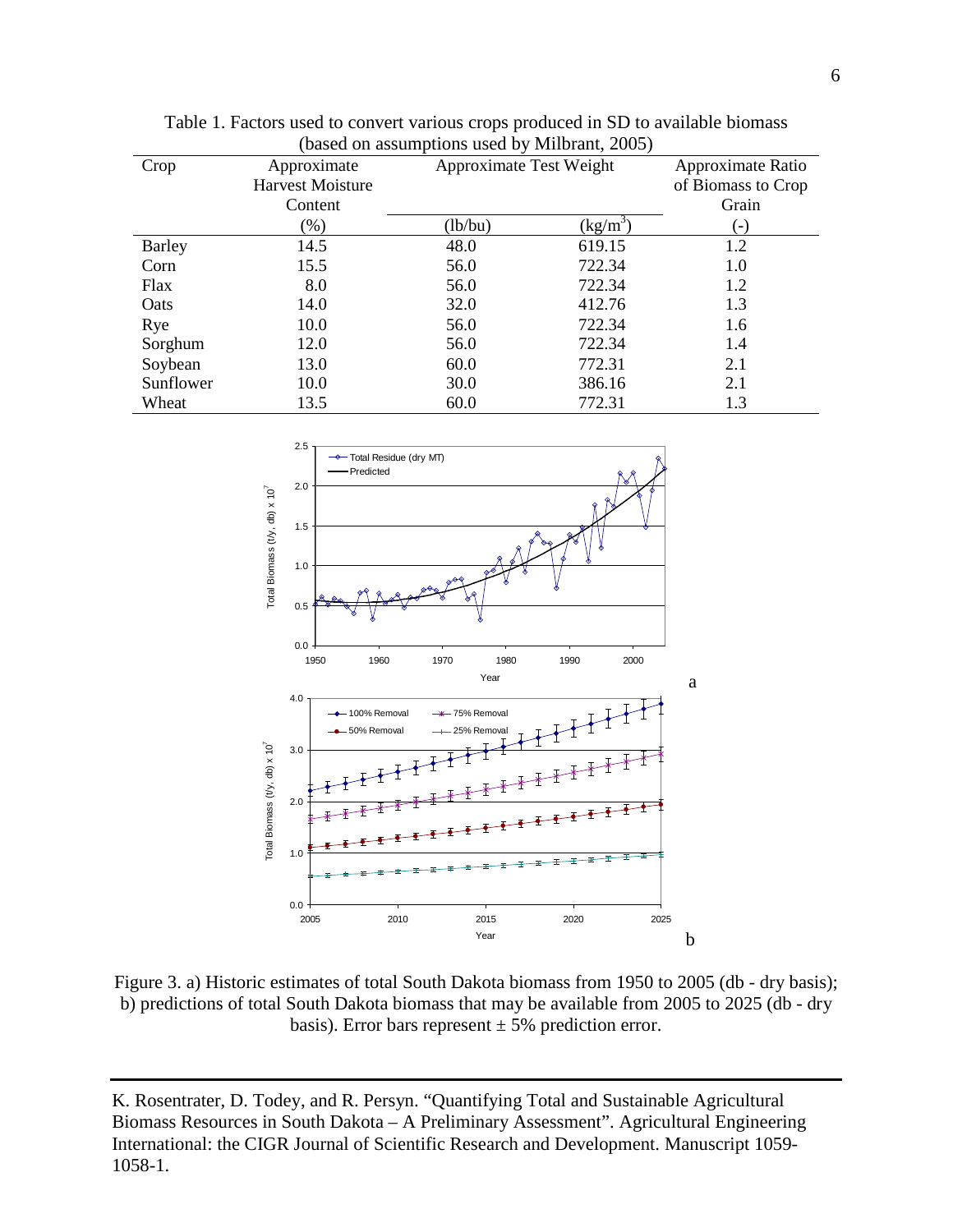| Crop      | Approximate             | $\alpha$ out on about the troops about $\beta$ , with order $\beta$<br>Approximate Test Weight |            | Approximate Ratio  |
|-----------|-------------------------|------------------------------------------------------------------------------------------------|------------|--------------------|
|           | <b>Harvest Moisture</b> |                                                                                                |            | of Biomass to Crop |
|           | Content                 |                                                                                                |            | Grain              |
|           |                         |                                                                                                |            |                    |
|           | (% )                    | (lb/bu)                                                                                        | $(kg/m^3)$ | ( – )              |
| Barley    | 14.5                    | 48.0                                                                                           | 619.15     | 1.2                |
| Corn      | 15.5                    | 56.0                                                                                           | 722.34     | 1.0                |
| Flax      | 8.0                     | 56.0                                                                                           | 722.34     | 1.2                |
| Oats      | 14.0                    | 32.0                                                                                           | 412.76     | 1.3                |
| Rye       | 10.0                    | 56.0                                                                                           | 722.34     | 1.6                |
| Sorghum   | 12.0                    | 56.0                                                                                           | 722.34     | 1.4                |
| Soybean   | 13.0                    | 60.0                                                                                           | 772.31     | 2.1                |
| Sunflower | 10.0                    | 30.0                                                                                           | 386.16     | 2.1                |
| Wheat     | 13.5                    | 60.0                                                                                           | 772.31     | 1.3                |





Figure 3. a) Historic estimates of total South Dakota biomass from 1950 to 2005 (db - dry basis); b) predictions of total South Dakota biomass that may be available from 2005 to 2025 (db - dry basis). Error bars represent  $\pm$  5% prediction error.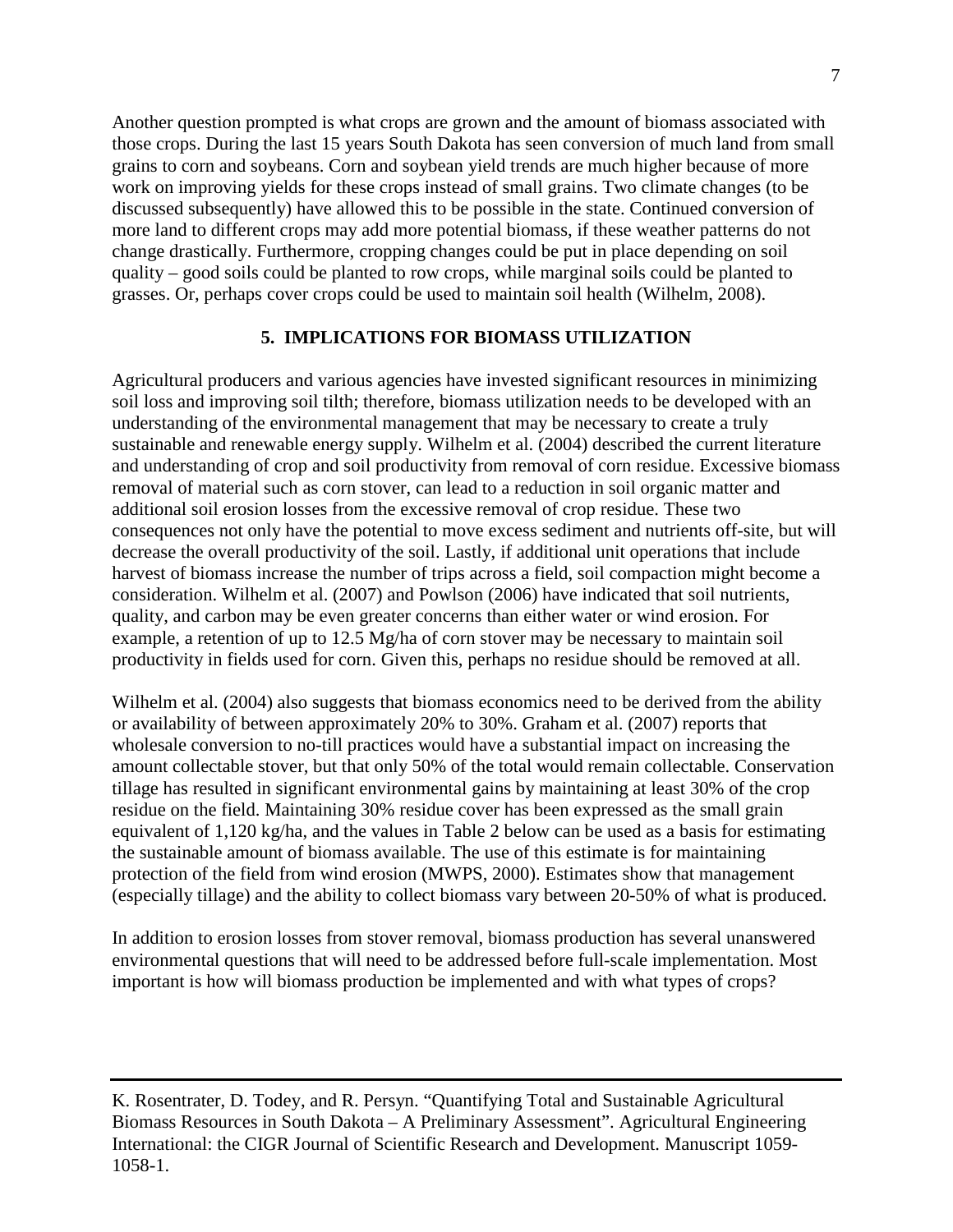Another question prompted is what crops are grown and the amount of biomass associated with those crops. During the last 15 years South Dakota has seen conversion of much land from small grains to corn and soybeans. Corn and soybean yield trends are much higher because of more work on improving yields for these crops instead of small grains. Two climate changes (to be discussed subsequently) have allowed this to be possible in the state. Continued conversion of more land to different crops may add more potential biomass, if these weather patterns do not change drastically. Furthermore, cropping changes could be put in place depending on soil quality – good soils could be planted to row crops, while marginal soils could be planted to grasses. Or, perhaps cover crops could be used to maintain soil health (Wilhelm, 2008).

### **5. IMPLICATIONS FOR BIOMASS UTILIZATION**

Agricultural producers and various agencies have invested significant resources in minimizing soil loss and improving soil tilth; therefore, biomass utilization needs to be developed with an understanding of the environmental management that may be necessary to create a truly sustainable and renewable energy supply. Wilhelm et al. (2004) described the current literature and understanding of crop and soil productivity from removal of corn residue. Excessive biomass removal of material such as corn stover, can lead to a reduction in soil organic matter and additional soil erosion losses from the excessive removal of crop residue. These two consequences not only have the potential to move excess sediment and nutrients off-site, but will decrease the overall productivity of the soil. Lastly, if additional unit operations that include harvest of biomass increase the number of trips across a field, soil compaction might become a consideration. Wilhelm et al. (2007) and Powlson (2006) have indicated that soil nutrients, quality, and carbon may be even greater concerns than either water or wind erosion. For example, a retention of up to 12.5 Mg/ha of corn stover may be necessary to maintain soil productivity in fields used for corn. Given this, perhaps no residue should be removed at all.

Wilhelm et al. (2004) also suggests that biomass economics need to be derived from the ability or availability of between approximately 20% to 30%. Graham et al. (2007) reports that wholesale conversion to no-till practices would have a substantial impact on increasing the amount collectable stover, but that only 50% of the total would remain collectable. Conservation tillage has resulted in significant environmental gains by maintaining at least 30% of the crop residue on the field. Maintaining 30% residue cover has been expressed as the small grain equivalent of 1,120 kg/ha, and the values in Table 2 below can be used as a basis for estimating the sustainable amount of biomass available. The use of this estimate is for maintaining protection of the field from wind erosion (MWPS, 2000). Estimates show that management (especially tillage) and the ability to collect biomass vary between 20-50% of what is produced.

In addition to erosion losses from stover removal, biomass production has several unanswered environmental questions that will need to be addressed before full-scale implementation. Most important is how will biomass production be implemented and with what types of crops?

K. Rosentrater, D. Todey, and R. Persyn. "Quantifying Total and Sustainable Agricultural Biomass Resources in South Dakota – A Preliminary Assessment". Agricultural Engineering International: the CIGR Journal of Scientific Research and Development. Manuscript 1059- 1058-1.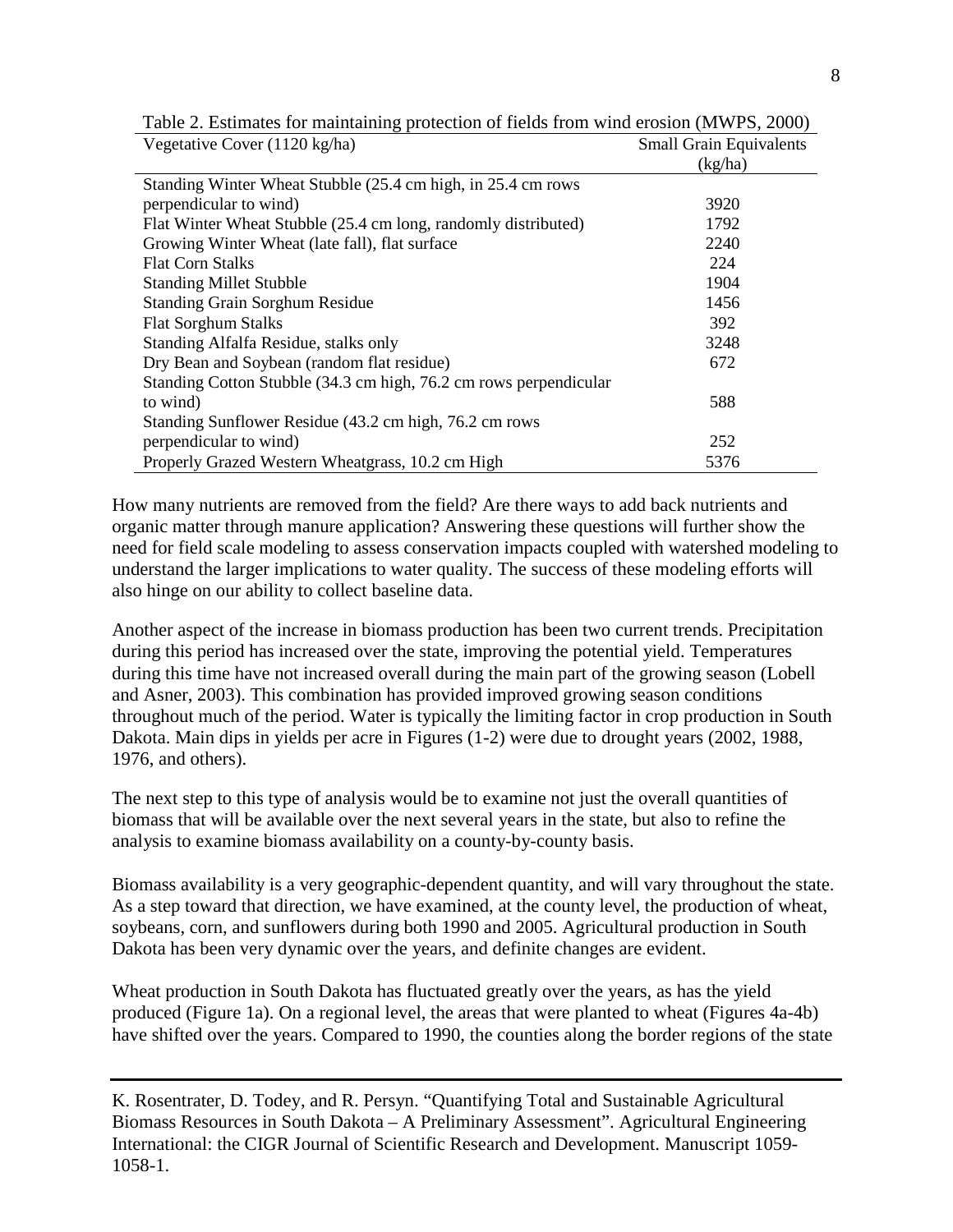| Vegetative Cover (1120 kg/ha)                                     | <b>Small Grain Equivalents</b> |
|-------------------------------------------------------------------|--------------------------------|
|                                                                   | (kg/ha)                        |
| Standing Winter Wheat Stubble (25.4 cm high, in 25.4 cm rows      |                                |
| perpendicular to wind)                                            | 3920                           |
| Flat Winter Wheat Stubble (25.4 cm long, randomly distributed)    | 1792                           |
| Growing Winter Wheat (late fall), flat surface                    | 2240                           |
| <b>Flat Corn Stalks</b>                                           | 224                            |
| <b>Standing Millet Stubble</b>                                    | 1904                           |
| <b>Standing Grain Sorghum Residue</b>                             | 1456                           |
| <b>Flat Sorghum Stalks</b>                                        | 392                            |
| Standing Alfalfa Residue, stalks only                             | 3248                           |
| Dry Bean and Soybean (random flat residue)                        | 672                            |
| Standing Cotton Stubble (34.3 cm high, 76.2 cm rows perpendicular |                                |
| to wind)                                                          | 588                            |
| Standing Sunflower Residue (43.2 cm high, 76.2 cm rows            |                                |
| perpendicular to wind)                                            | 252                            |
| Properly Grazed Western Wheatgrass, 10.2 cm High                  | 5376                           |

Table 2. Estimates for maintaining protection of fields from wind erosion (MWPS, 2000)

How many nutrients are removed from the field? Are there ways to add back nutrients and organic matter through manure application? Answering these questions will further show the need for field scale modeling to assess conservation impacts coupled with watershed modeling to understand the larger implications to water quality. The success of these modeling efforts will also hinge on our ability to collect baseline data.

Another aspect of the increase in biomass production has been two current trends. Precipitation during this period has increased over the state, improving the potential yield. Temperatures during this time have not increased overall during the main part of the growing season (Lobell and Asner, 2003). This combination has provided improved growing season conditions throughout much of the period. Water is typically the limiting factor in crop production in South Dakota. Main dips in yields per acre in Figures (1-2) were due to drought years (2002, 1988, 1976, and others).

The next step to this type of analysis would be to examine not just the overall quantities of biomass that will be available over the next several years in the state, but also to refine the analysis to examine biomass availability on a county-by-county basis.

Biomass availability is a very geographic-dependent quantity, and will vary throughout the state. As a step toward that direction, we have examined, at the county level, the production of wheat, soybeans, corn, and sunflowers during both 1990 and 2005. Agricultural production in South Dakota has been very dynamic over the years, and definite changes are evident.

Wheat production in South Dakota has fluctuated greatly over the years, as has the yield produced (Figure 1a). On a regional level, the areas that were planted to wheat (Figures 4a-4b) have shifted over the years. Compared to 1990, the counties along the border regions of the state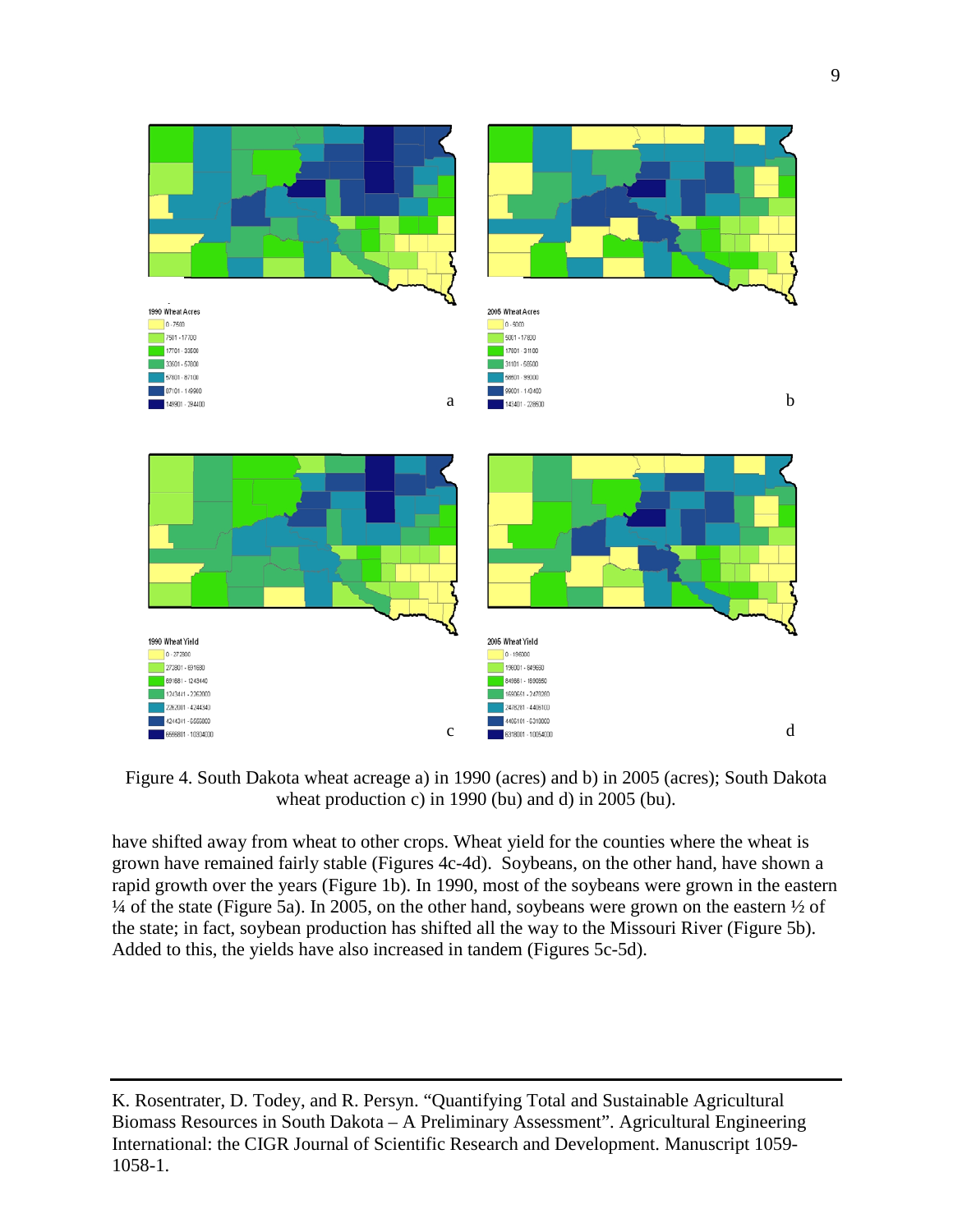

Figure 4. South Dakota wheat acreage a) in 1990 (acres) and b) in 2005 (acres); South Dakota wheat production c) in 1990 (bu) and d) in 2005 (bu).

have shifted away from wheat to other crops. Wheat yield for the counties where the wheat is grown have remained fairly stable (Figures 4c-4d). Soybeans, on the other hand, have shown a rapid growth over the years (Figure 1b). In 1990, most of the soybeans were grown in the eastern  $\frac{1}{4}$  of the state (Figure 5a). In 2005, on the other hand, soybeans were grown on the eastern  $\frac{1}{2}$  of the state; in fact, soybean production has shifted all the way to the Missouri River (Figure 5b). Added to this, the yields have also increased in tandem (Figures 5c-5d).

K. Rosentrater, D. Todey, and R. Persyn. "Quantifying Total and Sustainable Agricultural Biomass Resources in South Dakota – A Preliminary Assessment". Agricultural Engineering International: the CIGR Journal of Scientific Research and Development. Manuscript 1059- 1058-1.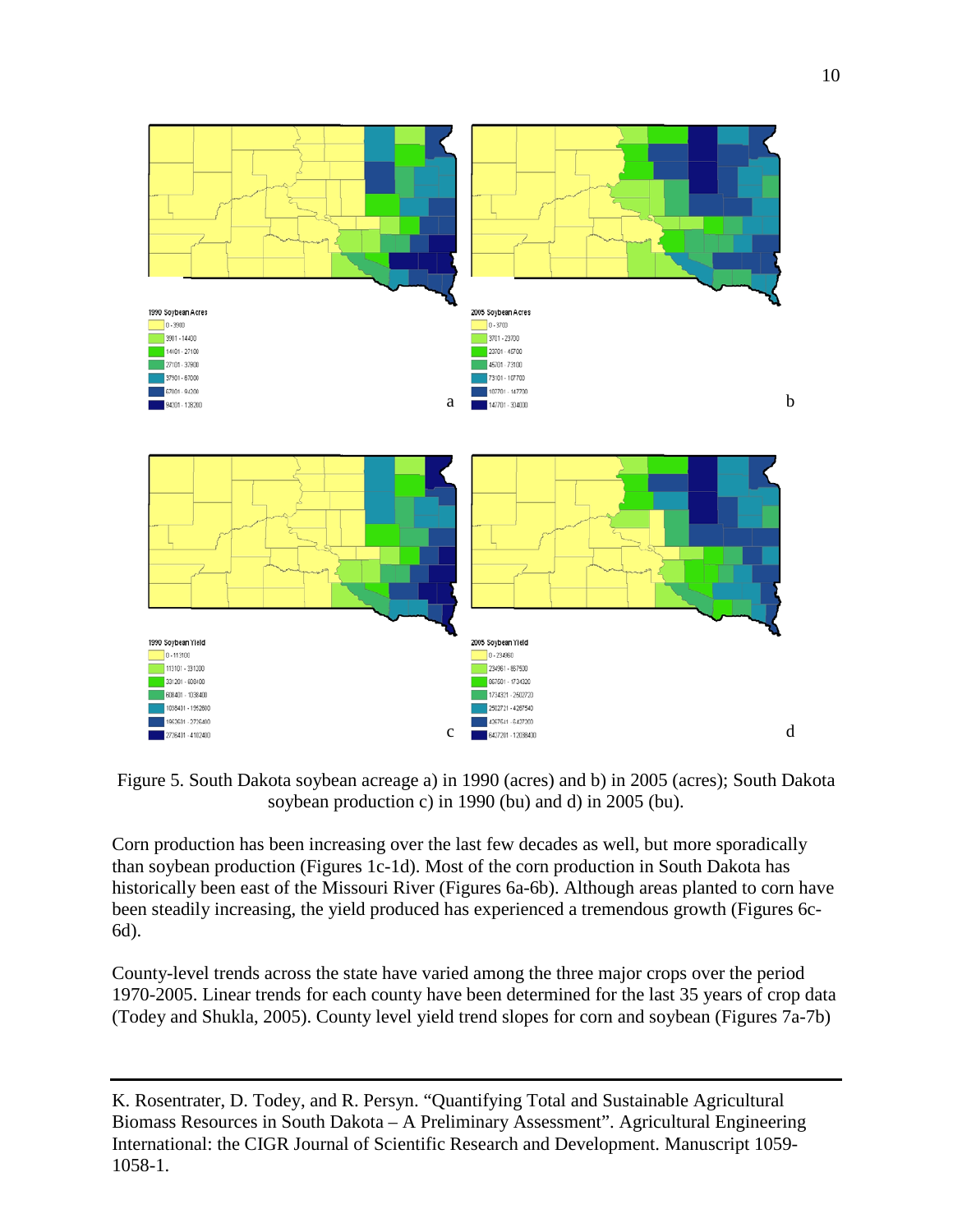

Figure 5. South Dakota soybean acreage a) in 1990 (acres) and b) in 2005 (acres); South Dakota soybean production c) in 1990 (bu) and d) in 2005 (bu).

Corn production has been increasing over the last few decades as well, but more sporadically than soybean production (Figures 1c-1d). Most of the corn production in South Dakota has historically been east of the Missouri River (Figures 6a-6b). Although areas planted to corn have been steadily increasing, the yield produced has experienced a tremendous growth (Figures 6c-6d).

County-level trends across the state have varied among the three major crops over the period 1970-2005. Linear trends for each county have been determined for the last 35 years of crop data (Todey and Shukla, 2005). County level yield trend slopes for corn and soybean (Figures 7a-7b)

K. Rosentrater, D. Todey, and R. Persyn. "Quantifying Total and Sustainable Agricultural Biomass Resources in South Dakota – A Preliminary Assessment". Agricultural Engineering International: the CIGR Journal of Scientific Research and Development. Manuscript 1059- 1058-1.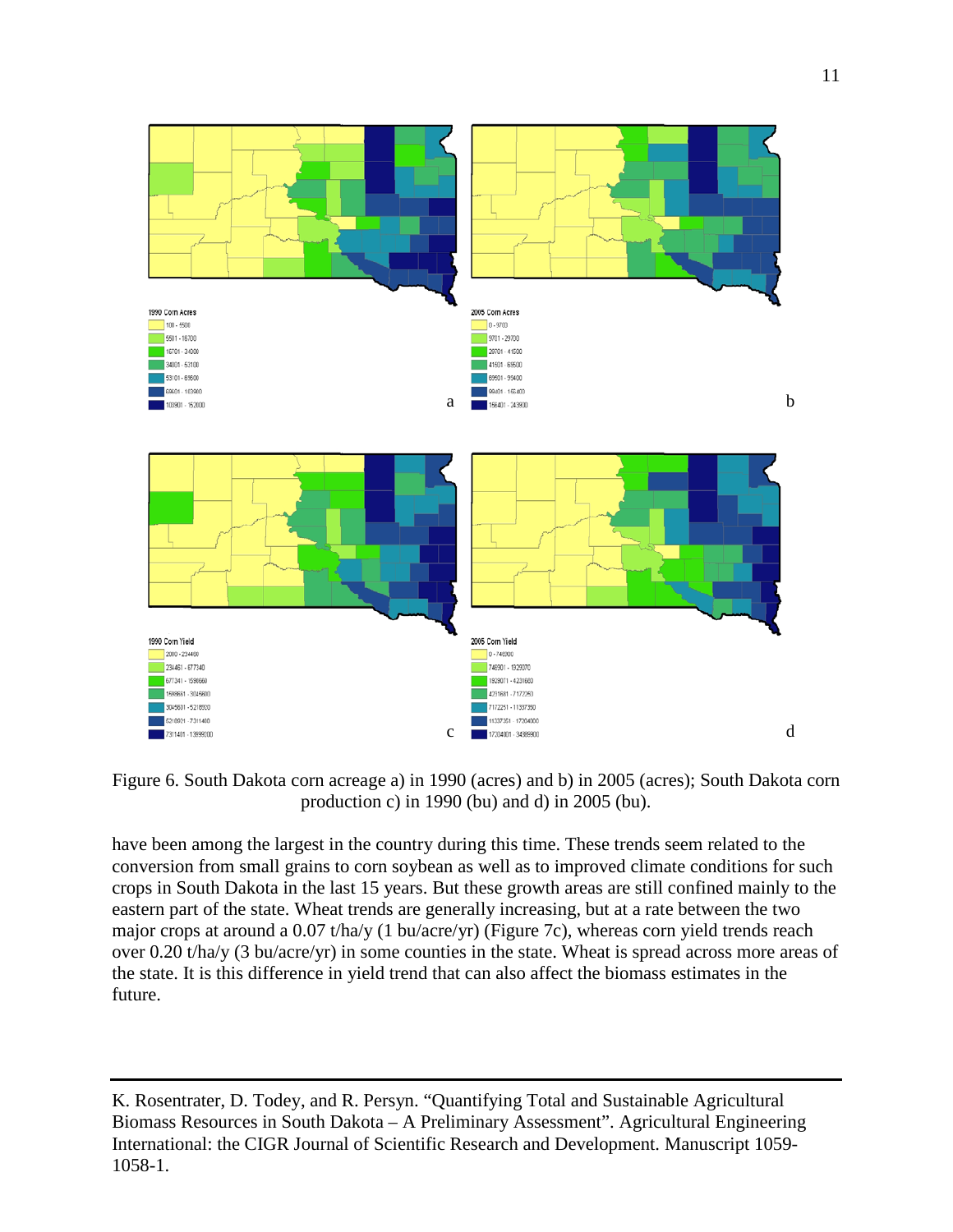

Figure 6. South Dakota corn acreage a) in 1990 (acres) and b) in 2005 (acres); South Dakota corn production c) in 1990 (bu) and d) in 2005 (bu).

have been among the largest in the country during this time. These trends seem related to the conversion from small grains to corn soybean as well as to improved climate conditions for such crops in South Dakota in the last 15 years. But these growth areas are still confined mainly to the eastern part of the state. Wheat trends are generally increasing, but at a rate between the two major crops at around a 0.07 t/ha/y (1 bu/acre/yr) (Figure 7c), whereas corn yield trends reach over 0.20 t/ha/y (3 bu/acre/yr) in some counties in the state. Wheat is spread across more areas of the state. It is this difference in yield trend that can also affect the biomass estimates in the future.

K. Rosentrater, D. Todey, and R. Persyn. "Quantifying Total and Sustainable Agricultural Biomass Resources in South Dakota – A Preliminary Assessment". Agricultural Engineering International: the CIGR Journal of Scientific Research and Development. Manuscript 1059- 1058-1.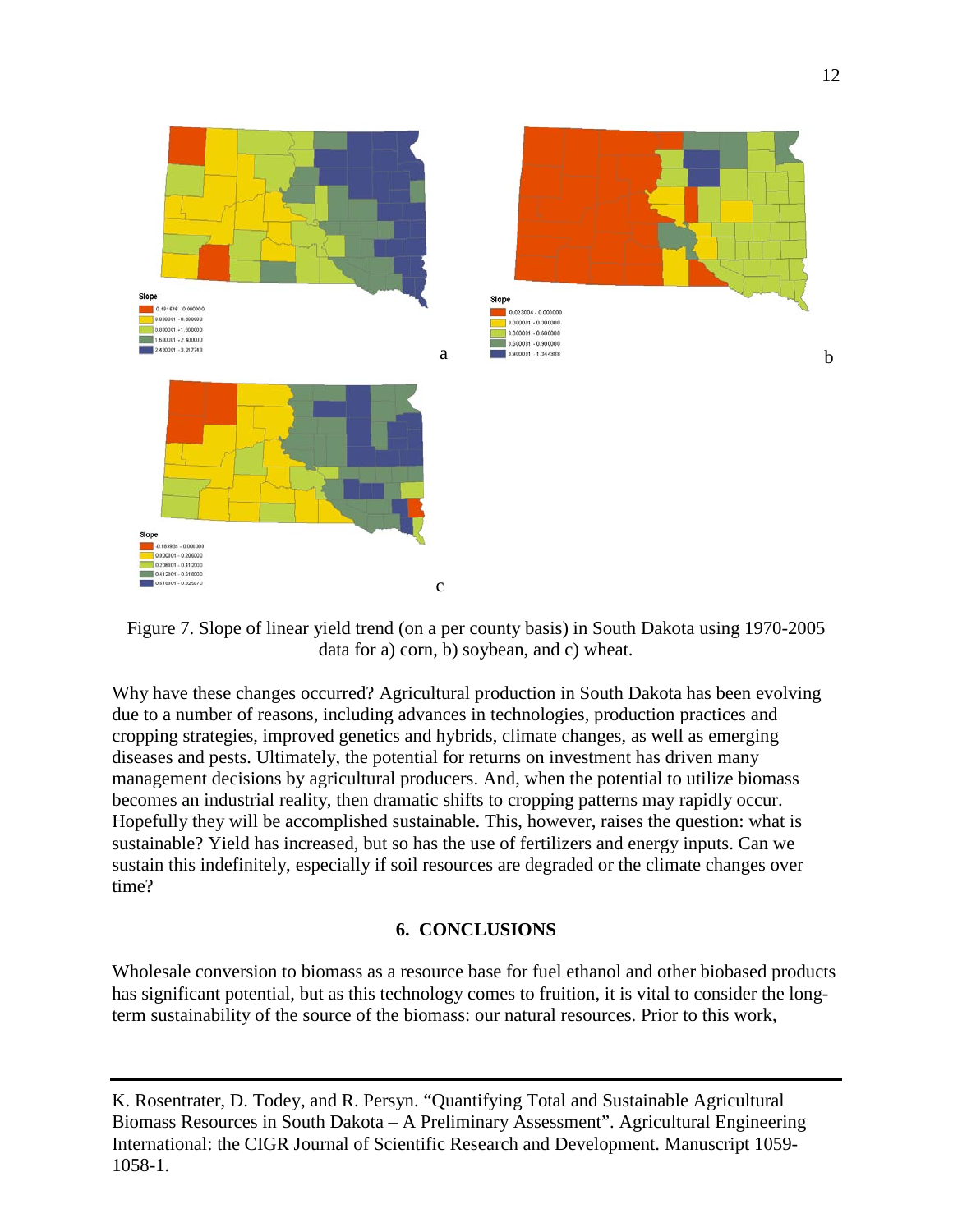

Figure 7. Slope of linear yield trend (on a per county basis) in South Dakota using 1970-2005 data for a) corn, b) soybean, and c) wheat.

Why have these changes occurred? Agricultural production in South Dakota has been evolving due to a number of reasons, including advances in technologies, production practices and cropping strategies, improved genetics and hybrids, climate changes, as well as emerging diseases and pests. Ultimately, the potential for returns on investment has driven many management decisions by agricultural producers. And, when the potential to utilize biomass becomes an industrial reality, then dramatic shifts to cropping patterns may rapidly occur. Hopefully they will be accomplished sustainable. This, however, raises the question: what is sustainable? Yield has increased, but so has the use of fertilizers and energy inputs. Can we sustain this indefinitely, especially if soil resources are degraded or the climate changes over time?

### **6. CONCLUSIONS**

Wholesale conversion to biomass as a resource base for fuel ethanol and other biobased products has significant potential, but as this technology comes to fruition, it is vital to consider the longterm sustainability of the source of the biomass: our natural resources. Prior to this work,

K. Rosentrater, D. Todey, and R. Persyn. "Quantifying Total and Sustainable Agricultural Biomass Resources in South Dakota – A Preliminary Assessment". Agricultural Engineering International: the CIGR Journal of Scientific Research and Development. Manuscript 1059- 1058-1.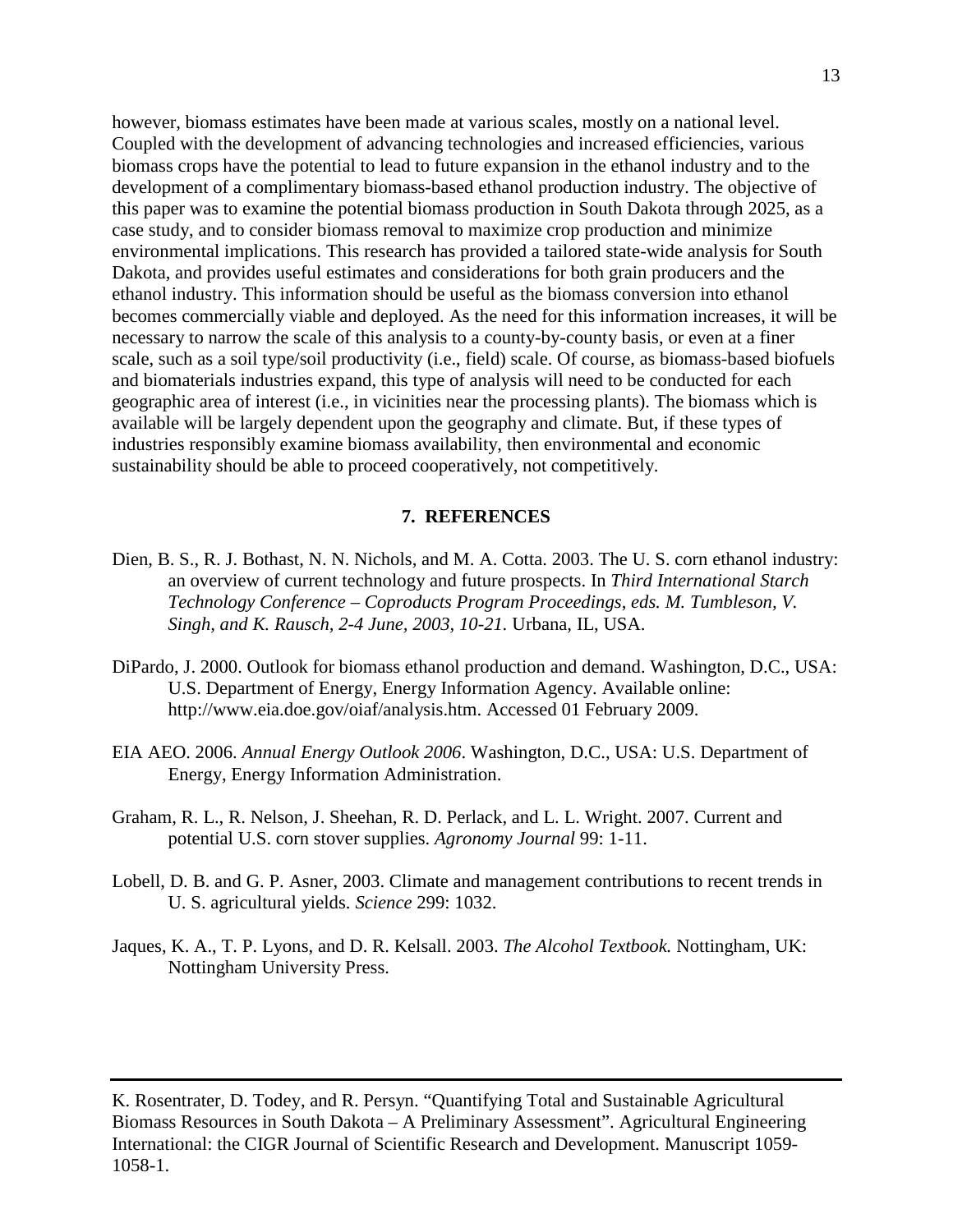however, biomass estimates have been made at various scales, mostly on a national level. Coupled with the development of advancing technologies and increased efficiencies, various biomass crops have the potential to lead to future expansion in the ethanol industry and to the development of a complimentary biomass-based ethanol production industry. The objective of this paper was to examine the potential biomass production in South Dakota through 2025, as a case study, and to consider biomass removal to maximize crop production and minimize environmental implications. This research has provided a tailored state-wide analysis for South Dakota, and provides useful estimates and considerations for both grain producers and the ethanol industry. This information should be useful as the biomass conversion into ethanol becomes commercially viable and deployed. As the need for this information increases, it will be necessary to narrow the scale of this analysis to a county-by-county basis, or even at a finer scale, such as a soil type/soil productivity (i.e., field) scale. Of course, as biomass-based biofuels and biomaterials industries expand, this type of analysis will need to be conducted for each geographic area of interest (i.e., in vicinities near the processing plants). The biomass which is available will be largely dependent upon the geography and climate. But, if these types of industries responsibly examine biomass availability, then environmental and economic sustainability should be able to proceed cooperatively, not competitively.

#### **7. REFERENCES**

- Dien, B. S., R. J. Bothast, N. N. Nichols, and M. A. Cotta. 2003. The U. S. corn ethanol industry: an overview of current technology and future prospects. In *Third International Starch Technology Conference – Coproducts Program Proceedings*, *eds. M. Tumbleson, V. Singh, and K. Rausch, 2-4 June, 2003, 10-21.* Urbana, IL, USA.
- DiPardo, J. 2000. Outlook for biomass ethanol production and demand. Washington, D.C., USA: U.S. Department of Energy, Energy Information Agency. Available online: [http://www.eia.doe.gov/oiaf/analysis.htm.](http://www.eia.doe.gov/oiaf/analysis.htm) Accessed 01 February 2009.
- EIA AEO. 2006. *Annual Energy Outlook 2006*. Washington, D.C., USA: U.S. Department of Energy, Energy Information Administration.
- Graham, R. L., R. Nelson, J. Sheehan, R. D. Perlack, and L. L. Wright. 2007. Current and potential U.S. corn stover supplies. *Agronomy Journal* 99: 1-11.
- Lobell, D. B. and G. P. Asner, 2003. Climate and management contributions to recent trends in U. S. agricultural yields. *Science* 299: 1032.
- Jaques, K. A., T. P. Lyons, and D. R. Kelsall. 2003. *The Alcohol Textbook.* Nottingham, UK: Nottingham University Press.